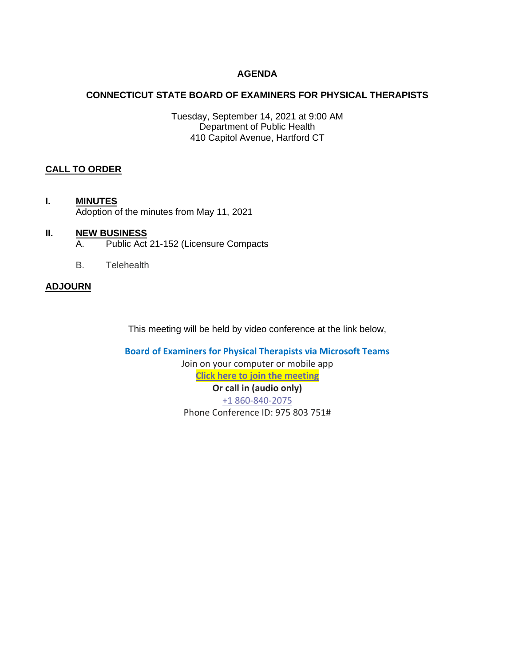# **AGENDA**

# **CONNECTICUT STATE BOARD OF EXAMINERS FOR PHYSICAL THERAPISTS**

Tuesday, September 14, 2021 at 9:00 AM Department of Public Health 410 Capitol Avenue, Hartford CT

# **CALL TO ORDER**

**I. MINUTES** Adoption of the minutes from May 11, 2021

## **II. NEW BUSINESS**

- A. Public Act 21-152 (Licensure Compacts
- B. Telehealth

## **ADJOURN**

This meeting will be held by video conference at the link below,

**Board of Examiners for Physical Therapists via Microsoft Teams** Join on your computer or mobile app **[Click here to join the meeting](https://teams.microsoft.com/l/meetup-join/19%3ameeting_YTY0MTZkNTItZjZkYy00NDk3LWEwMmItOWI3ZjgyN2IzNDZm%40thread.v2/0?context=%7b%22Tid%22%3a%22118b7cfa-a3dd-48b9-b026-31ff69bb738b%22%2c%22Oid%22%3a%22735c43f2-4aee-4b5f-b05e-0c535078f579%22%7d) Or call in (audio only)** [+1 860-840-2075](tel:+18608402075,,975803751# ) Phone Conference ID: 975 803 751#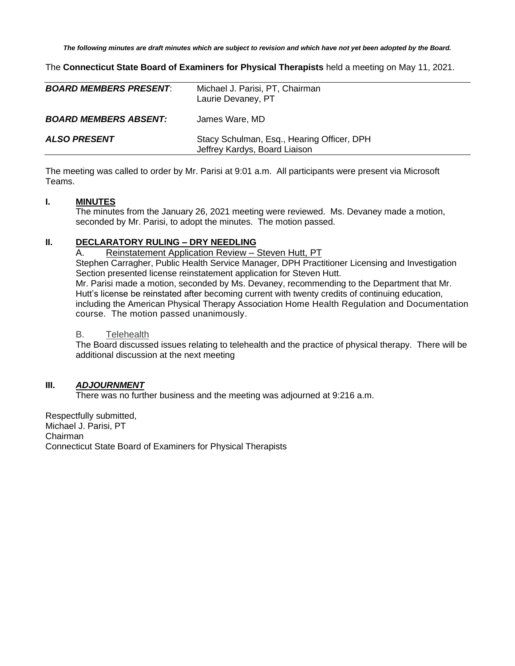*The following minutes are draft minutes which are subject to revision and which have not yet been adopted by the Board.*

The **Connecticut State Board of Examiners for Physical Therapists** held a meeting on May 11, 2021.

| <b>BOARD MEMBERS PRESENT:</b> | Michael J. Parisi, PT, Chairman<br>Laurie Devaney, PT                       |
|-------------------------------|-----------------------------------------------------------------------------|
| <b>BOARD MEMBERS ABSENT:</b>  | James Ware, MD                                                              |
| <b>ALSO PRESENT</b>           | Stacy Schulman, Esq., Hearing Officer, DPH<br>Jeffrey Kardys, Board Liaison |

The meeting was called to order by Mr. Parisi at 9:01 a.m. All participants were present via Microsoft Teams.

#### **I. MINUTES**

The minutes from the January 26, 2021 meeting were reviewed. Ms. Devaney made a motion, seconded by Mr. Parisi, to adopt the minutes. The motion passed.

#### **II. DECLARATORY RULING – DRY NEEDLING**

A. Reinstatement Application Review – Steven Hutt, PT Stephen Carragher, Public Health Service Manager, DPH Practitioner Licensing and Investigation Section presented license reinstatement application for Steven Hutt. Mr. Parisi made a motion, seconded by Ms. Devaney, recommending to the Department that Mr. Hutt's license be reinstated after becoming current with twenty credits of continuing education, including the American Physical Therapy Association [Home Health Regulation and Documentation](http://learningcenter.apta.org/student/MyCourse.aspx?id=0f5bcca4-3fe2-4504-a195-436bd7edf78c&programid=dcca7f06-4cd9-4530-b9d3-4ef7d2717b5d) [course.](http://learningcenter.apta.org/student/MyCourse.aspx?id=0f5bcca4-3fe2-4504-a195-436bd7edf78c&programid=dcca7f06-4cd9-4530-b9d3-4ef7d2717b5d) The motion passed unanimously.

#### B. Telehealth

The Board discussed issues relating to telehealth and the practice of physical therapy. There will be additional discussion at the next meeting

## **III.** *ADJOURNMENT*

There was no further business and the meeting was adjourned at 9:216 a.m.

Respectfully submitted, Michael J. Parisi, PT Chairman Connecticut State Board of Examiners for Physical Therapists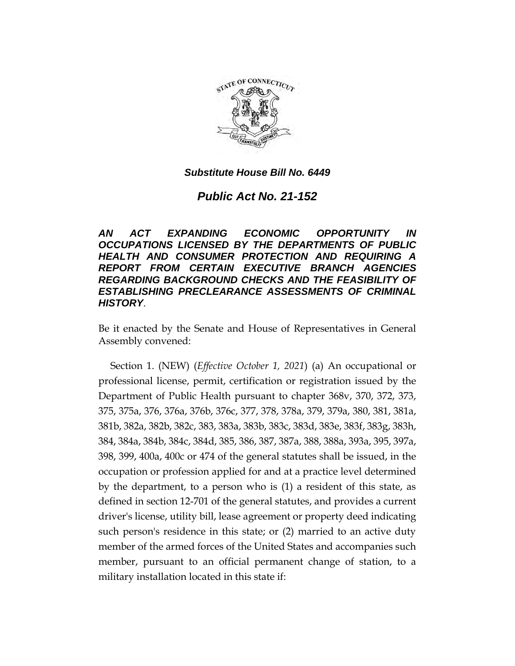

*Public Act No. 21-152*

*AN ACT EXPANDING ECONOMIC OPPORTUNITY IN OCCUPATIONS LICENSED BY THE DEPARTMENTS OF PUBLIC HEALTH AND CONSUMER PROTECTION AND REQUIRING A REPORT FROM CERTAIN EXECUTIVE BRANCH AGENCIES REGARDING BACKGROUND CHECKS AND THE FEASIBILITY OF ESTABLISHING PRECLEARANCE ASSESSMENTS OF CRIMINAL HISTORY*.

Be it enacted by the Senate and House of Representatives in General Assembly convened:

Section 1. (NEW) (*Effective October 1, 2021*) (a) An occupational or professional license, permit, certification or registration issued by the Department of Public Health pursuant to chapter 368v, 370, 372, 373, 375, 375a, 376, 376a, 376b, 376c, 377, 378, 378a, 379, 379a, 380, 381, 381a, 381b, 382a, 382b, 382c, 383, 383a, 383b, 383c, 383d, 383e, 383f, 383g, 383h, 384, 384a, 384b, 384c, 384d, 385, 386, 387, 387a, 388, 388a, 393a, 395, 397a, 398, 399, 400a, 400c or 474 of the general statutes shall be issued, in the occupation or profession applied for and at a practice level determined by the department, to a person who is (1) a resident of this state, as defined in section 12-701 of the general statutes, and provides a current driver's license, utility bill, lease agreement or property deed indicating such person's residence in this state; or (2) married to an active duty member of the armed forces of the United States and accompanies such member, pursuant to an official permanent change of station, to a military installation located in this state if: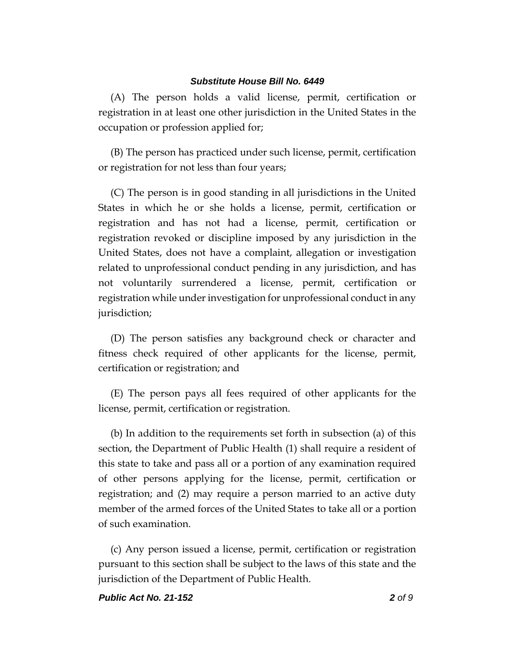(A) The person holds a valid license, permit, certification or registration in at least one other jurisdiction in the United States in the occupation or profession applied for;

(B) The person has practiced under such license, permit, certification or registration for not less than four years;

(C) The person is in good standing in all jurisdictions in the United States in which he or she holds a license, permit, certification or registration and has not had a license, permit, certification or registration revoked or discipline imposed by any jurisdiction in the United States, does not have a complaint, allegation or investigation related to unprofessional conduct pending in any jurisdiction, and has not voluntarily surrendered a license, permit, certification or registration while under investigation for unprofessional conduct in any jurisdiction;

(D) The person satisfies any background check or character and fitness check required of other applicants for the license, permit, certification or registration; and

(E) The person pays all fees required of other applicants for the license, permit, certification or registration.

(b) In addition to the requirements set forth in subsection (a) of this section, the Department of Public Health (1) shall require a resident of this state to take and pass all or a portion of any examination required of other persons applying for the license, permit, certification or registration; and (2) may require a person married to an active duty member of the armed forces of the United States to take all or a portion of such examination.

(c) Any person issued a license, permit, certification or registration pursuant to this section shall be subject to the laws of this state and the jurisdiction of the Department of Public Health.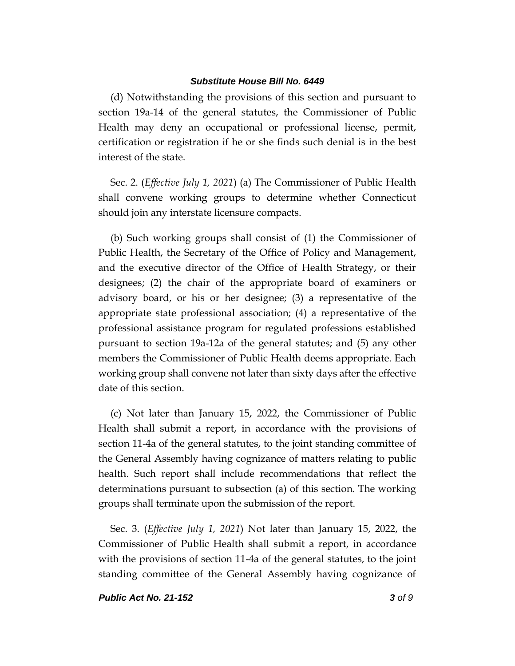(d) Notwithstanding the provisions of this section and pursuant to section 19a-14 of the general statutes, the Commissioner of Public Health may deny an occupational or professional license, permit, certification or registration if he or she finds such denial is in the best interest of the state.

Sec. 2. (*Effective July 1, 2021*) (a) The Commissioner of Public Health shall convene working groups to determine whether Connecticut should join any interstate licensure compacts.

(b) Such working groups shall consist of (1) the Commissioner of Public Health, the Secretary of the Office of Policy and Management, and the executive director of the Office of Health Strategy, or their designees; (2) the chair of the appropriate board of examiners or advisory board, or his or her designee; (3) a representative of the appropriate state professional association; (4) a representative of the professional assistance program for regulated professions established pursuant to section 19a-12a of the general statutes; and (5) any other members the Commissioner of Public Health deems appropriate. Each working group shall convene not later than sixty days after the effective date of this section.

(c) Not later than January 15, 2022, the Commissioner of Public Health shall submit a report, in accordance with the provisions of section 11-4a of the general statutes, to the joint standing committee of the General Assembly having cognizance of matters relating to public health. Such report shall include recommendations that reflect the determinations pursuant to subsection (a) of this section. The working groups shall terminate upon the submission of the report.

Sec. 3. (*Effective July 1, 2021*) Not later than January 15, 2022, the Commissioner of Public Health shall submit a report, in accordance with the provisions of section 11-4a of the general statutes, to the joint standing committee of the General Assembly having cognizance of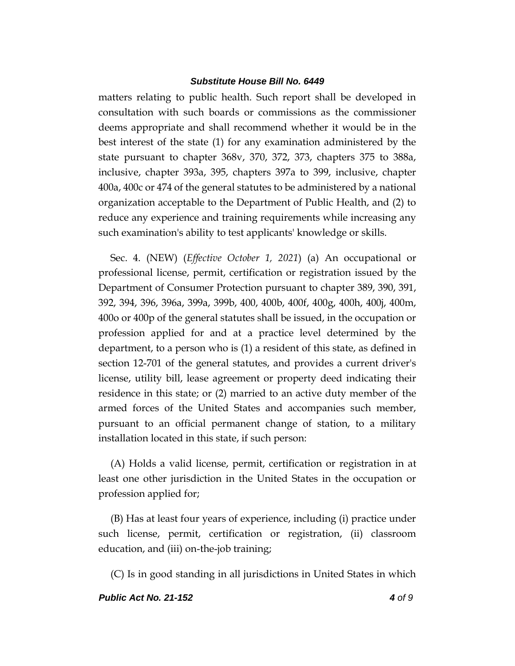matters relating to public health. Such report shall be developed in consultation with such boards or commissions as the commissioner deems appropriate and shall recommend whether it would be in the best interest of the state (1) for any examination administered by the state pursuant to chapter 368v, 370, 372, 373, chapters 375 to 388a, inclusive, chapter 393a, 395, chapters 397a to 399, inclusive, chapter 400a, 400c or 474 of the general statutes to be administered by a national organization acceptable to the Department of Public Health, and (2) to reduce any experience and training requirements while increasing any such examination's ability to test applicants' knowledge or skills.

Sec. 4. (NEW) (*Effective October 1, 2021*) (a) An occupational or professional license, permit, certification or registration issued by the Department of Consumer Protection pursuant to chapter 389, 390, 391, 392, 394, 396, 396a, 399a, 399b, 400, 400b, 400f, 400g, 400h, 400j, 400m, 400o or 400p of the general statutes shall be issued, in the occupation or profession applied for and at a practice level determined by the department, to a person who is (1) a resident of this state, as defined in section 12-701 of the general statutes, and provides a current driver's license, utility bill, lease agreement or property deed indicating their residence in this state; or (2) married to an active duty member of the armed forces of the United States and accompanies such member, pursuant to an official permanent change of station, to a military installation located in this state, if such person:

(A) Holds a valid license, permit, certification or registration in at least one other jurisdiction in the United States in the occupation or profession applied for;

(B) Has at least four years of experience, including (i) practice under such license, permit, certification or registration, (ii) classroom education, and (iii) on-the-job training;

(C) Is in good standing in all jurisdictions in United States in which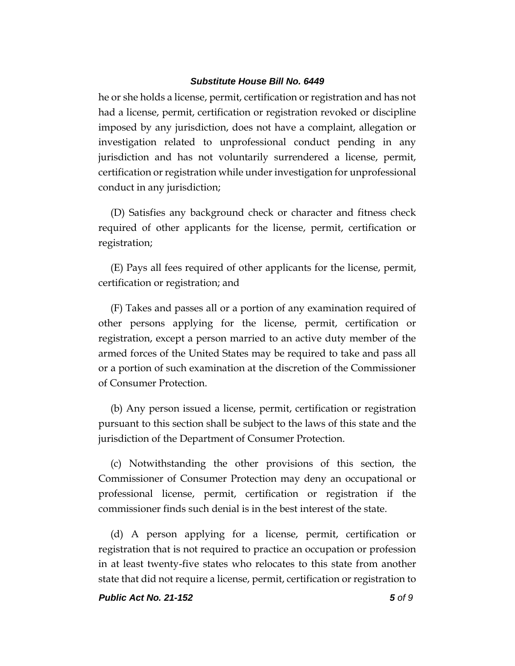he or she holds a license, permit, certification or registration and has not had a license, permit, certification or registration revoked or discipline imposed by any jurisdiction, does not have a complaint, allegation or investigation related to unprofessional conduct pending in any jurisdiction and has not voluntarily surrendered a license, permit, certification or registration while under investigation for unprofessional conduct in any jurisdiction;

(D) Satisfies any background check or character and fitness check required of other applicants for the license, permit, certification or registration;

(E) Pays all fees required of other applicants for the license, permit, certification or registration; and

(F) Takes and passes all or a portion of any examination required of other persons applying for the license, permit, certification or registration, except a person married to an active duty member of the armed forces of the United States may be required to take and pass all or a portion of such examination at the discretion of the Commissioner of Consumer Protection.

(b) Any person issued a license, permit, certification or registration pursuant to this section shall be subject to the laws of this state and the jurisdiction of the Department of Consumer Protection.

(c) Notwithstanding the other provisions of this section, the Commissioner of Consumer Protection may deny an occupational or professional license, permit, certification or registration if the commissioner finds such denial is in the best interest of the state.

(d) A person applying for a license, permit, certification or registration that is not required to practice an occupation or profession in at least twenty-five states who relocates to this state from another state that did not require a license, permit, certification or registration to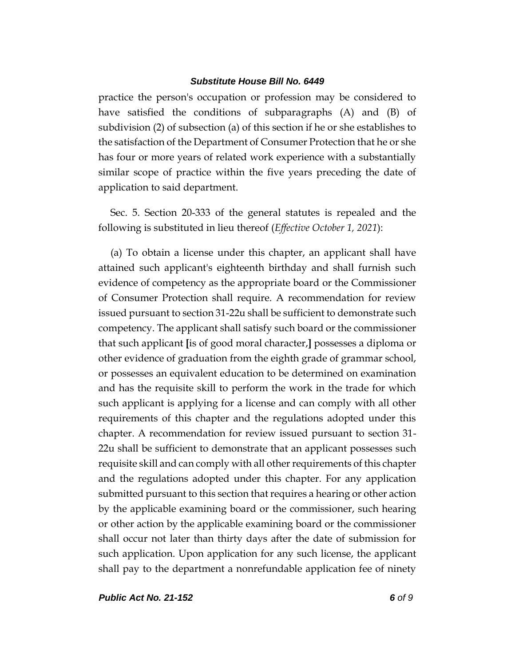practice the person's occupation or profession may be considered to have satisfied the conditions of subparagraphs (A) and (B) of subdivision (2) of subsection (a) of this section if he or she establishes to the satisfaction of the Department of Consumer Protection that he or she has four or more years of related work experience with a substantially similar scope of practice within the five years preceding the date of application to said department.

Sec. 5. Section 20-333 of the general statutes is repealed and the following is substituted in lieu thereof (*Effective October 1, 2021*):

(a) To obtain a license under this chapter, an applicant shall have attained such applicant's eighteenth birthday and shall furnish such evidence of competency as the appropriate board or the Commissioner of Consumer Protection shall require. A recommendation for review issued pursuant to section 31-22u shall be sufficient to demonstrate such competency. The applicant shall satisfy such board or the commissioner that such applicant **[**is of good moral character,**]** possesses a diploma or other evidence of graduation from the eighth grade of grammar school, or possesses an equivalent education to be determined on examination and has the requisite skill to perform the work in the trade for which such applicant is applying for a license and can comply with all other requirements of this chapter and the regulations adopted under this chapter. A recommendation for review issued pursuant to section 31- 22u shall be sufficient to demonstrate that an applicant possesses such requisite skill and can comply with all other requirements of this chapter and the regulations adopted under this chapter. For any application submitted pursuant to this section that requires a hearing or other action by the applicable examining board or the commissioner, such hearing or other action by the applicable examining board or the commissioner shall occur not later than thirty days after the date of submission for such application. Upon application for any such license, the applicant shall pay to the department a nonrefundable application fee of ninety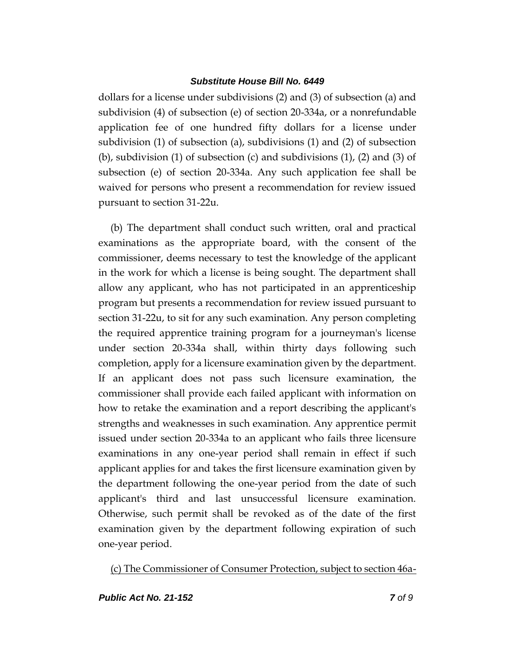dollars for a license under subdivisions (2) and (3) of subsection (a) and subdivision (4) of subsection (e) of section 20-334a, or a nonrefundable application fee of one hundred fifty dollars for a license under subdivision (1) of subsection (a), subdivisions (1) and (2) of subsection (b), subdivision (1) of subsection (c) and subdivisions  $(1)$ ,  $(2)$  and  $(3)$  of subsection (e) of section 20-334a. Any such application fee shall be waived for persons who present a recommendation for review issued pursuant to section 31-22u.

(b) The department shall conduct such written, oral and practical examinations as the appropriate board, with the consent of the commissioner, deems necessary to test the knowledge of the applicant in the work for which a license is being sought. The department shall allow any applicant, who has not participated in an apprenticeship program but presents a recommendation for review issued pursuant to section 31-22u, to sit for any such examination. Any person completing the required apprentice training program for a journeyman's license under section 20-334a shall, within thirty days following such completion, apply for a licensure examination given by the department. If an applicant does not pass such licensure examination, the commissioner shall provide each failed applicant with information on how to retake the examination and a report describing the applicant's strengths and weaknesses in such examination. Any apprentice permit issued under section 20-334a to an applicant who fails three licensure examinations in any one-year period shall remain in effect if such applicant applies for and takes the first licensure examination given by the department following the one-year period from the date of such applicant's third and last unsuccessful licensure examination. Otherwise, such permit shall be revoked as of the date of the first examination given by the department following expiration of such one-year period.

(c) The Commissioner of Consumer Protection, subject to section 46a-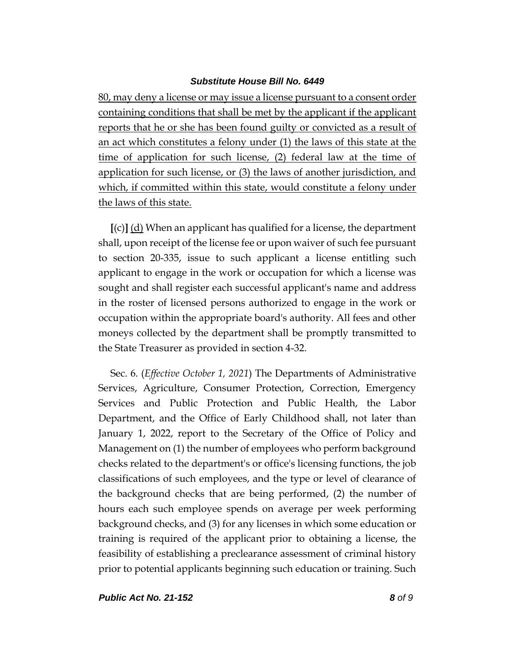80, may deny a license or may issue a license pursuant to a consent order containing conditions that shall be met by the applicant if the applicant reports that he or she has been found guilty or convicted as a result of an act which constitutes a felony under (1) the laws of this state at the time of application for such license, (2) federal law at the time of application for such license, or (3) the laws of another jurisdiction, and which, if committed within this state, would constitute a felony under the laws of this state.

**[**(c)**]** (d) When an applicant has qualified for a license, the department shall, upon receipt of the license fee or upon waiver of such fee pursuant to section 20-335, issue to such applicant a license entitling such applicant to engage in the work or occupation for which a license was sought and shall register each successful applicant's name and address in the roster of licensed persons authorized to engage in the work or occupation within the appropriate board's authority. All fees and other moneys collected by the department shall be promptly transmitted to the State Treasurer as provided in section 4-32.

Sec. 6. (*Effective October 1, 2021*) The Departments of Administrative Services, Agriculture, Consumer Protection, Correction, Emergency Services and Public Protection and Public Health, the Labor Department, and the Office of Early Childhood shall, not later than January 1, 2022, report to the Secretary of the Office of Policy and Management on (1) the number of employees who perform background checks related to the department's or office's licensing functions, the job classifications of such employees, and the type or level of clearance of the background checks that are being performed, (2) the number of hours each such employee spends on average per week performing background checks, and (3) for any licenses in which some education or training is required of the applicant prior to obtaining a license, the feasibility of establishing a preclearance assessment of criminal history prior to potential applicants beginning such education or training. Such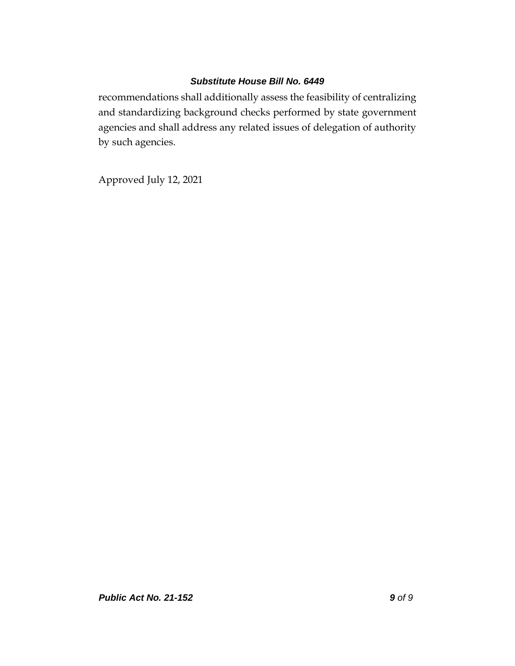recommendations shall additionally assess the feasibility of centralizing and standardizing background checks performed by state government agencies and shall address any related issues of delegation of authority by such agencies.

Approved July 12, 2021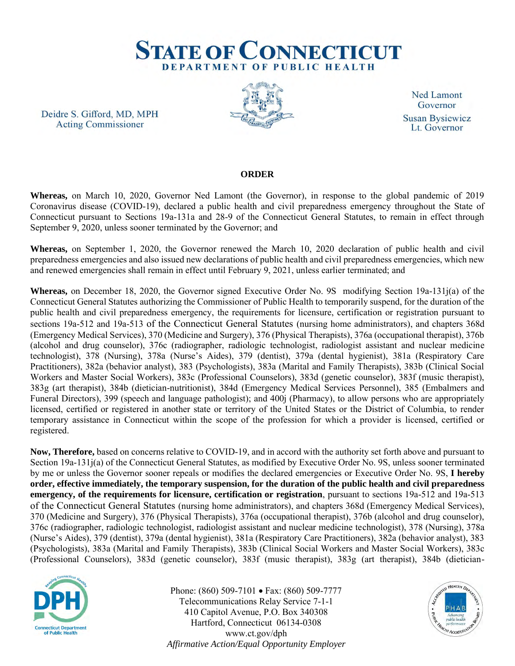

Deidre S. Gifford, MD, MPH **Acting Commissioner** 



**Ned Lamont** Governor **Susan Bysiewicz** Lt. Governor

## **ORDER**

**Whereas,** on March 10, 2020, Governor Ned Lamont (the Governor), in response to the global pandemic of 2019 Coronavirus disease (COVID-19), declared a public health and civil preparedness emergency throughout the State of Connecticut pursuant to Sections 19a-131a and 28-9 of the Connecticut General Statutes, to remain in effect through September 9, 2020, unless sooner terminated by the Governor; and

**Whereas,** on September 1, 2020, the Governor renewed the March 10, 2020 declaration of public health and civil preparedness emergencies and also issued new declarations of public health and civil preparedness emergencies, which new and renewed emergencies shall remain in effect until February 9, 2021, unless earlier terminated; and

**Whereas,** on December 18, 2020, the Governor signed Executive Order No. 9S modifying Section 19a-131j(a) of the Connecticut General Statutes authorizing the Commissioner of Public Health to temporarily suspend, for the duration of the public health and civil preparedness emergency, the requirements for licensure, certification or registration pursuant to sections 19a-512 and 19a-513 of the Connecticut General Statutes (nursing home administrators), and chapters 368d (Emergency Medical Services), 370 (Medicine and Surgery), 376 (Physical Therapists), 376a (occupational therapist), 376b (alcohol and drug counselor), 376c (radiographer, radiologic technologist, radiologist assistant and nuclear medicine technologist), 378 (Nursing), 378a (Nurse's Aides), 379 (dentist), 379a (dental hygienist), 381a (Respiratory Care Practitioners), 382a (behavior analyst), 383 (Psychologists), 383a (Marital and Family Therapists), 383b (Clinical Social Workers and Master Social Workers), 383c (Professional Counselors), 383d (genetic counselor), 383f (music therapist), 383g (art therapist), 384b (dietician-nutritionist), 384d (Emergency Medical Services Personnel), 385 (Embalmers and Funeral Directors), 399 (speech and language pathologist); and 400j (Pharmacy), to allow persons who are appropriately licensed, certified or registered in another state or territory of the United States or the District of Columbia, to render temporary assistance in Connecticut within the scope of the profession for which a provider is licensed, certified or registered.

**Now, Therefore,** based on concerns relative to COVID-19, and in accord with the authority set forth above and pursuant to Section 19a-131j(a) of the Connecticut General Statutes, as modified by Executive Order No. 9S, unless sooner terminated by me or unless the Governor sooner repeals or modifies the declared emergencies or Executive Order No. 9S, **I hereby order, effective immediately, the temporary suspension, for the duration of the public health and civil preparedness emergency, of the requirements for licensure, certification or registration**, pursuant to sections 19a-512 and 19a-513 of the Connecticut General Statutes (nursing home administrators), and chapters 368d (Emergency Medical Services), 370 (Medicine and Surgery), 376 (Physical Therapists), 376a (occupational therapist), 376b (alcohol and drug counselor), 376c (radiographer, radiologic technologist, radiologist assistant and nuclear medicine technologist), 378 (Nursing), 378a (Nurse's Aides), 379 (dentist), 379a (dental hygienist), 381a (Respiratory Care Practitioners), 382a (behavior analyst), 383 (Psychologists), 383a (Marital and Family Therapists), 383b (Clinical Social Workers and Master Social Workers), 383c (Professional Counselors), 383d (genetic counselor), 383f (music therapist), 383g (art therapist), 384b (dietician-



Phone: (860) 509-7101 • Fax: (860) 509-7777 Telecommunications Relay Service 7-1-1 410 Capitol Avenue, P.O. Box 340308 Hartford, Connecticut 06134-0308 www.ct.gov/dph *Affirmative Action/Equal Opportunity Employer*

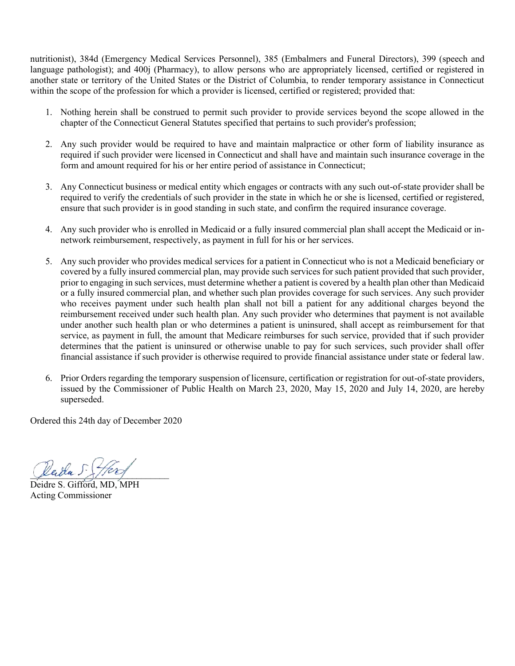nutritionist), 384d (Emergency Medical Services Personnel), 385 (Embalmers and Funeral Directors), 399 (speech and language pathologist); and 400j (Pharmacy), to allow persons who are appropriately licensed, certified or registered in another state or territory of the United States or the District of Columbia, to render temporary assistance in Connecticut within the scope of the profession for which a provider is licensed, certified or registered; provided that:

- 1. Nothing herein shall be construed to permit such provider to provide services beyond the scope allowed in the chapter of the Connecticut General Statutes specified that pertains to such provider's profession;
- 2. Any such provider would be required to have and maintain malpractice or other form of liability insurance as required if such provider were licensed in Connecticut and shall have and maintain such insurance coverage in the form and amount required for his or her entire period of assistance in Connecticut;
- 3. Any Connecticut business or medical entity which engages or contracts with any such out-of-state provider shall be required to verify the credentials of such provider in the state in which he or she is licensed, certified or registered, ensure that such provider is in good standing in such state, and confirm the required insurance coverage.
- 4. Any such provider who is enrolled in Medicaid or a fully insured commercial plan shall accept the Medicaid or innetwork reimbursement, respectively, as payment in full for his or her services.
- 5. Any such provider who provides medical services for a patient in Connecticut who is not a Medicaid beneficiary or covered by a fully insured commercial plan, may provide such services for such patient provided that such provider, prior to engaging in such services, must determine whether a patient is covered by a health plan other than Medicaid or a fully insured commercial plan, and whether such plan provides coverage for such services. Any such provider who receives payment under such health plan shall not bill a patient for any additional charges beyond the reimbursement received under such health plan. Any such provider who determines that payment is not available under another such health plan or who determines a patient is uninsured, shall accept as reimbursement for that service, as payment in full, the amount that Medicare reimburses for such service, provided that if such provider determines that the patient is uninsured or otherwise unable to pay for such services, such provider shall offer financial assistance if such provider is otherwise required to provide financial assistance under state or federal law.
- 6. Prior Orders regarding the temporary suspension of licensure, certification or registration for out-of-state providers, issued by the Commissioner of Public Health on March 23, 2020, May 15, 2020 and July 14, 2020, are hereby superseded.

Ordered this 24th day of December 2020

Vada S.

Deidre S. Gifford, MD, MPH Acting Commissioner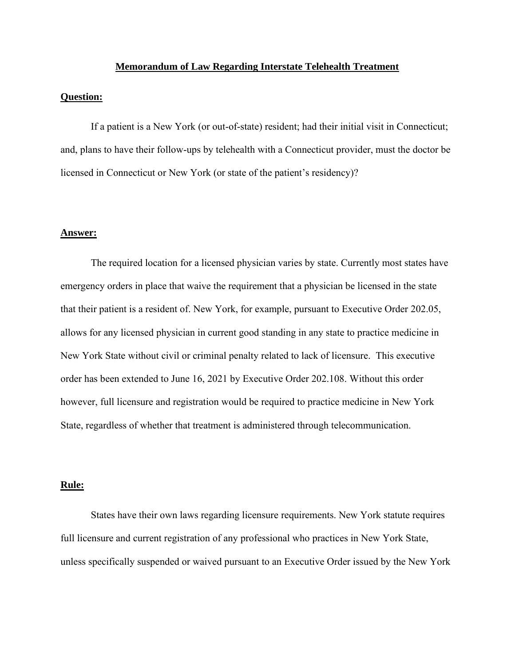#### **Memorandum of Law Regarding Interstate Telehealth Treatment**

#### **Question:**

If a patient is a New York (or out-of-state) resident; had their initial visit in Connecticut; and, plans to have their follow-ups by telehealth with a Connecticut provider, must the doctor be licensed in Connecticut or New York (or state of the patient's residency)?

#### **Answer:**

The required location for a licensed physician varies by state. Currently most states have emergency orders in place that waive the requirement that a physician be licensed in the state that their patient is a resident of. New York, for example, pursuant to Executive Order 202.05, allows for any licensed physician in current good standing in any state to practice medicine in New York State without civil or criminal penalty related to lack of licensure. This executive order has been extended to June 16, 2021 by Executive Order 202.108. Without this order however, full licensure and registration would be required to practice medicine in New York State, regardless of whether that treatment is administered through telecommunication.

## **Rule:**

States have their own laws regarding licensure requirements. New York statute requires full licensure and current registration of any professional who practices in New York State, unless specifically suspended or waived pursuant to an Executive Order issued by the New York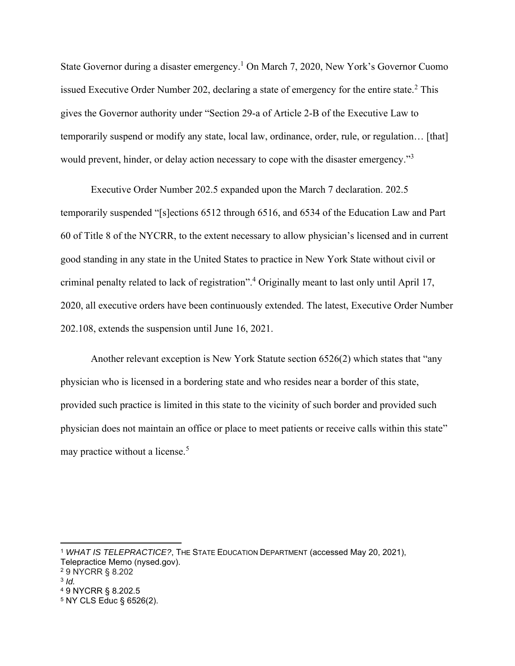State Governor during a disaster emergency.<sup>1</sup> On March 7, 2020, New York's Governor Cuomo issued Executive Order Number 202, declaring a state of emergency for the entire state.<sup>2</sup> This gives the Governor authority under "Section 29-a of Article 2-B of the Executive Law to temporarily suspend or modify any state, local law, ordinance, order, rule, or regulation… [that] would prevent, hinder, or delay action necessary to cope with the disaster emergency."<sup>3</sup>

Executive Order Number 202.5 expanded upon the March 7 declaration. 202.5 temporarily suspended "[s]ections 6512 through 6516, and 6534 of the Education Law and Part 60 of Title 8 of the NYCRR, to the extent necessary to allow physician's licensed and in current good standing in any state in the United States to practice in New York State without civil or criminal penalty related to lack of registration".<sup>4</sup> Originally meant to last only until April 17, 2020, all executive orders have been continuously extended. The latest, Executive Order Number 202.108, extends the suspension until June 16, 2021.

Another relevant exception is New York Statute section 6526(2) which states that "any physician who is licensed in a bordering state and who resides near a border of this state, provided such practice is limited in this state to the vicinity of such border and provided such physician does not maintain an office or place to meet patients or receive calls within this state" may practice without a license.<sup>5</sup>

<sup>1</sup> *WHAT IS TELEPRACTICE?*, THE STATE EDUCATION DEPARTMENT (accessed May 20, 2021), Telepractice Memo (nysed.gov).

<sup>2</sup> 9 NYCRR § 8.202

<sup>3</sup> *Id.* 

<sup>4</sup> 9 NYCRR § 8.202.5

<sup>5</sup> NY CLS Educ § 6526(2).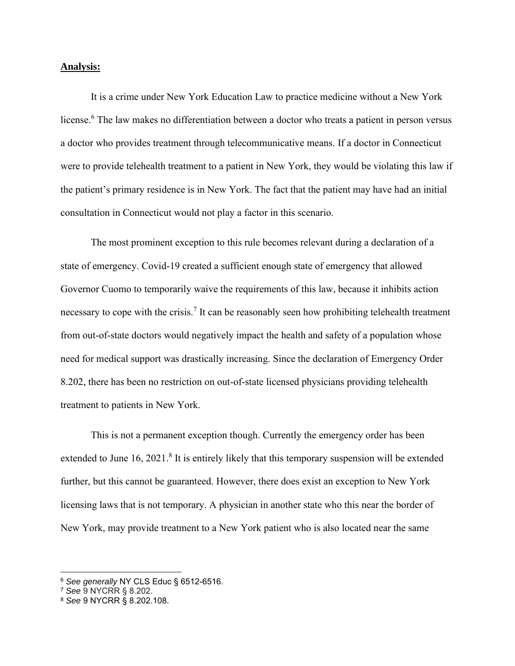#### **Analysis:**

It is a crime under New York Education Law to practice medicine without a New York license.<sup>6</sup> The law makes no differentiation between a doctor who treats a patient in person versus a doctor who provides treatment through telecommunicative means. If a doctor in Connecticut were to provide telehealth treatment to a patient in New York, they would be violating this law if the patient's primary residence is in New York. The fact that the patient may have had an initial consultation in Connecticut would not play a factor in this scenario.

The most prominent exception to this rule becomes relevant during a declaration of a state of emergency. Covid-19 created a sufficient enough state of emergency that allowed Governor Cuomo to temporarily waive the requirements of this law, because it inhibits action necessary to cope with the crisis.<sup>7</sup> It can be reasonably seen how prohibiting telehealth treatment from out-of-state doctors would negatively impact the health and safety of a population whose need for medical support was drastically increasing. Since the declaration of Emergency Order 8.202, there has been no restriction on out-of-state licensed physicians providing telehealth treatment to patients in New York.

This is not a permanent exception though. Currently the emergency order has been extended to June 16, 2021.<sup>8</sup> It is entirely likely that this temporary suspension will be extended further, but this cannot be guaranteed. However, there does exist an exception to New York licensing laws that is not temporary. A physician in another state who this near the border of New York, may provide treatment to a New York patient who is also located near the same

<sup>6</sup> *See generally* NY CLS Educ § 6512-6516.

<sup>7</sup> *See* 9 NYCRR § 8.202.

<sup>8</sup> *See* 9 NYCRR § 8.202.108.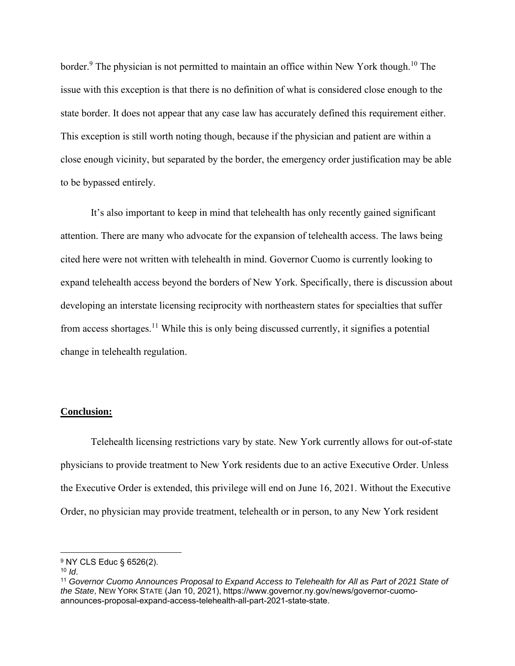border.<sup>9</sup> The physician is not permitted to maintain an office within New York though.<sup>10</sup> The issue with this exception is that there is no definition of what is considered close enough to the state border. It does not appear that any case law has accurately defined this requirement either. This exception is still worth noting though, because if the physician and patient are within a close enough vicinity, but separated by the border, the emergency order justification may be able to be bypassed entirely.

It's also important to keep in mind that telehealth has only recently gained significant attention. There are many who advocate for the expansion of telehealth access. The laws being cited here were not written with telehealth in mind. Governor Cuomo is currently looking to expand telehealth access beyond the borders of New York. Specifically, there is discussion about developing an interstate licensing reciprocity with northeastern states for specialties that suffer from access shortages.<sup>11</sup> While this is only being discussed currently, it signifies a potential change in telehealth regulation.

## **Conclusion:**

Telehealth licensing restrictions vary by state. New York currently allows for out-of-state physicians to provide treatment to New York residents due to an active Executive Order. Unless the Executive Order is extended, this privilege will end on June 16, 2021. Without the Executive Order, no physician may provide treatment, telehealth or in person, to any New York resident

<sup>9</sup> NY CLS Educ § 6526(2).

<sup>10</sup> *Id*.

<sup>11</sup> *Governor Cuomo Announces Proposal to Expand Access to Telehealth for All as Part of 2021 State of the State*, NEW YORK STATE (Jan 10, 2021), https://www.governor.ny.gov/news/governor-cuomoannounces-proposal-expand-access-telehealth-all-part-2021-state-state.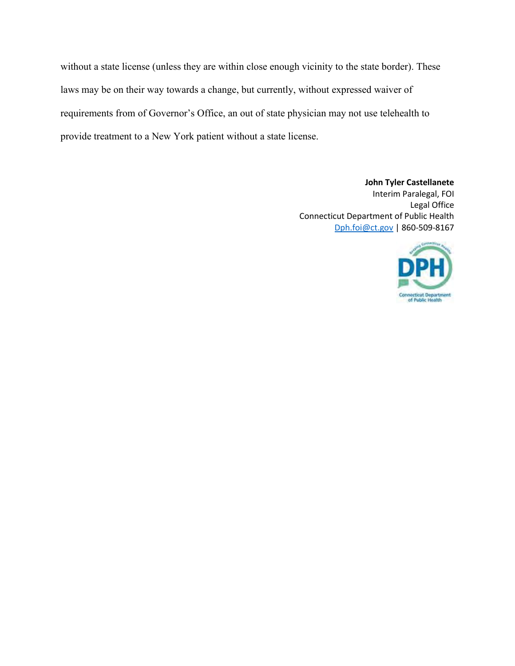without a state license (unless they are within close enough vicinity to the state border). These laws may be on their way towards a change, but currently, without expressed waiver of requirements from of Governor's Office, an out of state physician may not use telehealth to provide treatment to a New York patient without a state license.

> **John Tyler Castellanete** Interim Paralegal, FOI Legal Office Connecticut Department of Public Health [Dph.foi@ct.gov](mailto:Dph.foi@ct.gov) | 860-509-8167

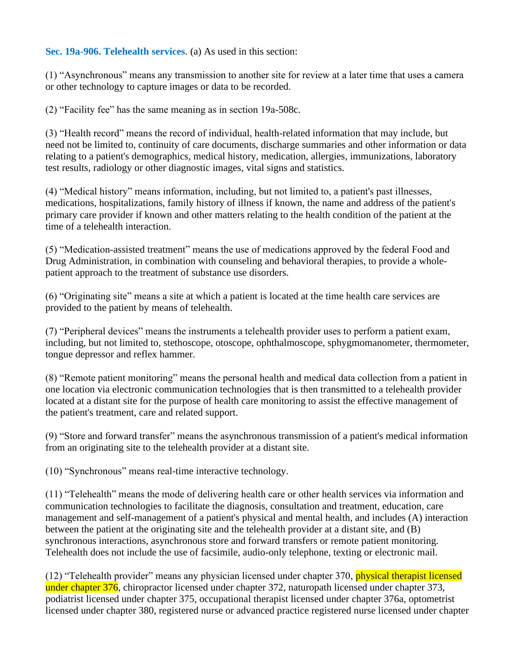**Sec. 19a-906. Telehealth services**. (a) As used in this section:

(1) "Asynchronous" means any transmission to another site for review at a later time that uses a camera or other technology to capture images or data to be recorded.

(2) "Facility fee" has the same meaning as in section 19a-508c.

(3) "Health record" means the record of individual, health-related information that may include, but need not be limited to, continuity of care documents, discharge summaries and other information or data relating to a patient's demographics, medical history, medication, allergies, immunizations, laboratory test results, radiology or other diagnostic images, vital signs and statistics.

(4) "Medical history" means information, including, but not limited to, a patient's past illnesses, medications, hospitalizations, family history of illness if known, the name and address of the patient's primary care provider if known and other matters relating to the health condition of the patient at the time of a telehealth interaction.

(5) "Medication-assisted treatment" means the use of medications approved by the federal Food and Drug Administration, in combination with counseling and behavioral therapies, to provide a wholepatient approach to the treatment of substance use disorders.

(6) "Originating site" means a site at which a patient is located at the time health care services are provided to the patient by means of telehealth.

(7) "Peripheral devices" means the instruments a telehealth provider uses to perform a patient exam, including, but not limited to, stethoscope, otoscope, ophthalmoscope, sphygmomanometer, thermometer, tongue depressor and reflex hammer.

(8) "Remote patient monitoring" means the personal health and medical data collection from a patient in one location via electronic communication technologies that is then transmitted to a telehealth provider located at a distant site for the purpose of health care monitoring to assist the effective management of the patient's treatment, care and related support.

(9) "Store and forward transfer" means the asynchronous transmission of a patient's medical information from an originating site to the telehealth provider at a distant site.

(10) "Synchronous" means real-time interactive technology.

(11) "Telehealth" means the mode of delivering health care or other health services via information and communication technologies to facilitate the diagnosis, consultation and treatment, education, care management and self-management of a patient's physical and mental health, and includes (A) interaction between the patient at the originating site and the telehealth provider at a distant site, and (B) synchronous interactions, asynchronous store and forward transfers or remote patient monitoring. Telehealth does not include the use of facsimile, audio-only telephone, texting or electronic mail.

(12) "Telehealth provider" means any physician licensed under chapter 370, physical therapist licensed under chapter 376, chiropractor licensed under chapter 372, naturopath licensed under chapter 373, podiatrist licensed under chapter 375, occupational therapist licensed under chapter 376a, optometrist licensed under chapter 380, registered nurse or advanced practice registered nurse licensed under chapter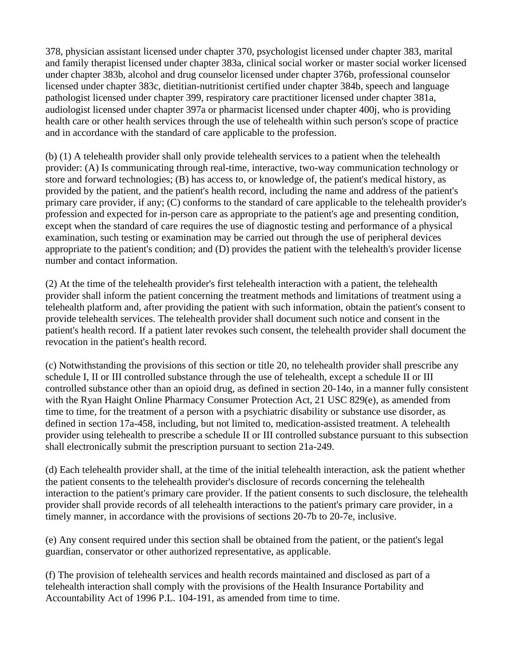378, physician assistant licensed under chapter 370, psychologist licensed under chapter 383, marital and family therapist licensed under chapter 383a, clinical social worker or master social worker licensed under chapter 383b, alcohol and drug counselor licensed under chapter 376b, professional counselor licensed under chapter 383c, dietitian-nutritionist certified under chapter 384b, speech and language pathologist licensed under chapter 399, respiratory care practitioner licensed under chapter 381a, audiologist licensed under chapter 397a or pharmacist licensed under chapter 400j, who is providing health care or other health services through the use of telehealth within such person's scope of practice and in accordance with the standard of care applicable to the profession.

(b) (1) A telehealth provider shall only provide telehealth services to a patient when the telehealth provider: (A) Is communicating through real-time, interactive, two-way communication technology or store and forward technologies; (B) has access to, or knowledge of, the patient's medical history, as provided by the patient, and the patient's health record, including the name and address of the patient's primary care provider, if any; (C) conforms to the standard of care applicable to the telehealth provider's profession and expected for in-person care as appropriate to the patient's age and presenting condition, except when the standard of care requires the use of diagnostic testing and performance of a physical examination, such testing or examination may be carried out through the use of peripheral devices appropriate to the patient's condition; and (D) provides the patient with the telehealth's provider license number and contact information.

(2) At the time of the telehealth provider's first telehealth interaction with a patient, the telehealth provider shall inform the patient concerning the treatment methods and limitations of treatment using a telehealth platform and, after providing the patient with such information, obtain the patient's consent to provide telehealth services. The telehealth provider shall document such notice and consent in the patient's health record. If a patient later revokes such consent, the telehealth provider shall document the revocation in the patient's health record.

(c) Notwithstanding the provisions of this section or title 20, no telehealth provider shall prescribe any schedule I, II or III controlled substance through the use of telehealth, except a schedule II or III controlled substance other than an opioid drug, as defined in section 20-14o, in a manner fully consistent with the Ryan Haight Online Pharmacy Consumer Protection Act, 21 USC 829(e), as amended from time to time, for the treatment of a person with a psychiatric disability or substance use disorder, as defined in section 17a-458, including, but not limited to, medication-assisted treatment. A telehealth provider using telehealth to prescribe a schedule II or III controlled substance pursuant to this subsection shall electronically submit the prescription pursuant to section 21a-249.

(d) Each telehealth provider shall, at the time of the initial telehealth interaction, ask the patient whether the patient consents to the telehealth provider's disclosure of records concerning the telehealth interaction to the patient's primary care provider. If the patient consents to such disclosure, the telehealth provider shall provide records of all telehealth interactions to the patient's primary care provider, in a timely manner, in accordance with the provisions of sections 20-7b to 20-7e, inclusive.

(e) Any consent required under this section shall be obtained from the patient, or the patient's legal guardian, conservator or other authorized representative, as applicable.

(f) The provision of telehealth services and health records maintained and disclosed as part of a telehealth interaction shall comply with the provisions of the Health Insurance Portability and Accountability Act of 1996 P.L. 104-191, as amended from time to time.